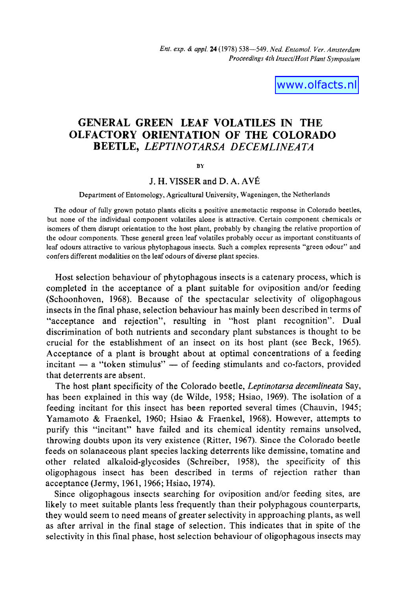www.olfacts.nl

# GENERAL GREEN LEAF VOLATILES IN THE OLFACTORY ORIENTATION OF THE COLORADO BEETLE, *LEPTINOTARSA DECEMLINEATA*

BY

## J. H. VISSER and D. A. AVÉ

#### Department of Entomology, Agricultural University, Wageningen, the Netherlands

The odour of fully grown potato plants elicits a positive anemotactic response in Colorado beetles, but none of the individual component volatiles alone is attractive. Certain component chemicals or isomers of them disrupt orientation to the host plant, probably by changing the relative proportion of the odour components, These general green leaf volatiles probably occur as important constituants of leaf odours attractive to various phytophagous insects. Such a complex represents "green odour" and confers different modalities on the leaf odours of diverse plant species.

Host selection behaviour of phytophagous insects is a catenary process, which is completed in the acceptance of a plant suitable for oviposition and/or feeding (Schoonhoven, 1968). Because of the spectacular selectivity of oligophagous insects in the final phase, selection behaviour has mainly been described in terms of "acceptance and rejection", resulting in "host plant recognition". Dual discrimination of both nutrients and secondary plant substances is thought to be crucial for the establishment of an insect on its host plant (see Beck, 1965). Acceptance of a plant is brought about at optimal concentrations of a feeding incitant  $-$  a "token stimulus"  $-$  of feeding stimulants and co-factors, provided that deterrents are absent.

The host plant specificity of the Colorado beetle, *Leptinotarsa decemlineata* Say, has been explained in this way (de Wilde, 1958; Hsiao, 1969). The isolation of a feeding incitant for this insect has been reported several times (Chauvin, 1945; Yamamoto & Fraenkel, 1960; Hsiao & Fraenkel, 1968). However, attempts to purify this "incitant" have failed and its chemical identity remains unsolved, throwing doubts upon its very existence (Ritter, 1967). Since the Colorado beetle feeds on solanaceous plant species lacking deterrents like demissine, tomatine and other related alkaloid-glycosides (Schreiber, 1958), the specificity of this oligophagous insect has been described in terms of rejection rather than acceptance (Jermy, 1961, 1966; Hsiao, 1974).

Since oligophagous insects searching for oviposition and/or feeding sites, are likely to meet suitable plants less frequently than their polyphagous counterparts, they would seem to need means of greater selectivity in approaching plants, as well as after arrival in the final stage of selection. This indicates that in spite of the selectivity in this final phase, host selection behaviour of oligophagous insects may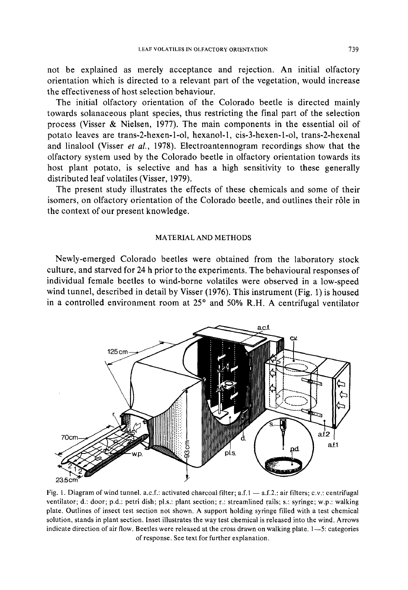not be explained as merely acceptance and rejection. An initial olfactory orientation which is directed to a relevant part of the vegetation, would increase the effectiveness of host selection behaviour.

The initial olfactory orientation of the Colorado beetle is directed mainly towards solanaceous plant species, thus restricting the final part of the selection process (Visser & Nielsen, 1977). The main components in the essential oil of potato leaves are trans-2-hexen-l-ol, hexanol-1, cis-3-hexen-l-ol, trans-2-hexenal and linalool (Visser *et aL,* 1978). Electroantennogram recordings show that the olfactory system used by the Colorado beetle in olfactory orientation towards its host plant potato, is selective and has a high sensitivity to these generally distributed leaf volatiles (Visser, 1979).

The present study illustrates the effects of these chemicals and some of their isomers, on olfactory orientation of the Colorado beetle, and outlines their r61e in the context of our present knowledge.

#### MATERIAL AND METHODS

Newly-emerged Colorado beetles were obtained from the laboratory stock culture, and starved for 24 h prior to the experiments. The behavioural responses of individual female beetles to wind-borne volatiles were observed in a low-speed wind tunnel, described in detail by Visser (1976). This instrument (Fig. 1) is housed in a controlled environment room at  $25^{\circ}$  and  $50\%$  R.H. A centrifugal ventilator



Fig. 1. Diagram of wind tunnel, a.c.f.: activated charcoal filter; a.f.1  $-$  a.f.2.: air filters; c.v.: centrifugal ventilator; d.: door; p.d.: petri dish; pl.s.: plant section; r.: streamlined rails; s.: syringe; w.p.: walking plate. Outlines of insect test section not shown. A support holding syringe filled with a test chemical solution, stands in plant section. Inset illustrates the way test chemical is released into the wind. Arrows indicate direction of air flow. Beetles were released at the cross drawn on walking plate. 1--5: categories of response. See text for further explanation.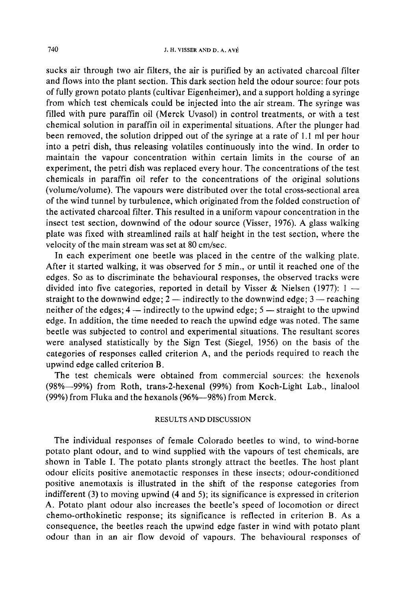sucks air through two air filters, the air is purified by an activated charcoal filter and flows into the plant section. This dark section held the odour source: four pots of fully grown potato plants (cultivar Eigenheimer), and a support holding a syringe from which test chemicals could be injected into the air stream. The syringe was filled with pure paraffin oil (Merck Uvasol) in control treatments, or with a test chemical solution in paraffin oil in experimental situations. After the plunger had been removed, the solution dripped out of the syringe at a rate of 1.1 ml per hour into a petri dish, thus releasing volatiles continuously into the wind. In order to maintain the vapour concentration within certain limits in the course of an experiment, the petri dish was replaced every hour. The concentrations of the test chemicals in paraffin oil refer to the concentrations of the original solutions (volume/volume). The vapours were distributed over the total cross-sectional area of the wind tunnel by turbulence, which originated from the folded construction of the activated charcoal filter. This resulted in a uniform vapour concentration in the insect test section, downwind of the odour source (Visser, 1976). A glass walking plate was fixed with streamlined rails at half height in the test section, where the velocity of the main stream was set at 80 cm/sec.

In each experiment one beetle was placed in the centre of the walking plate. After it started walking, it was observed for 5 min., or until it reached one of the edges. So as to discriminate the behavioural responses, the observed tracks were divided into five categories, reported in detail by Visser & Nielsen (1977):  $1$ straight to the downwind edge;  $2$  -- indirectly to the downwind edge;  $3$  -- reaching neither of the edges;  $4$  -- indirectly to the upwind edge;  $5$  -- straight to the upwind edge. In addition, the time needed to reach the upwind edge was noted. The same beetle was subjected to control and experimental situations. The resultant scores were analysed statistically by the Sign Test (Siegel, 1956) on the basis of the categories of responses called criterion A, and the periods required to reach the upwind edge called criterion B..

The test chemicals were obtained from commercial sources: the hexenols (98%--99%) from Roth, trans-2-hexenal (99%) from Koch-Light Lab., linalool (99%) from Fluka and the hexanols (96%--98%) from Merck.

#### RESULTS AND DISCUSSION

The individual responses of female Colorado beetles to wind, to wind-borne potato plant odour, and to wind supplied with the vapours of test chemicals, are shown in Table I. The potato plants strongly attract the beetles. The host plant odour elicits positive anemotactic responses in these insects; odour-conditioned positive anemotaxis is illustrated in the shift of the response categories from indifferent (3) to moving upwind (4 and 5); its significance is expressed in criterion A. Potato plant odour also increases the beetle's speed of locomotion or direct chemo-orthokinetic response; its significance is reflected in criterion B. As a consequence, the beetles reach the upwind edge faster in wind with potato plant odour than in an air flow devoid of vapours. The behavioural responses of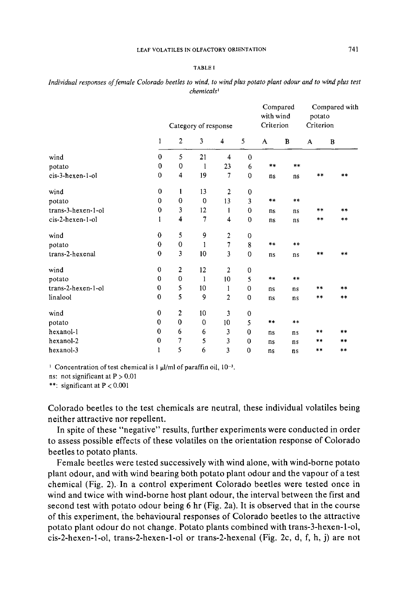#### LEAF VOLATILES IN OLFACTORY ORIENTATION 741

#### TABLE I

|                      | Category of response |                         |              |                  |                | Compared<br>with wind<br>Criterion |            | Compared with<br>potato<br>Criterion |       |
|----------------------|----------------------|-------------------------|--------------|------------------|----------------|------------------------------------|------------|--------------------------------------|-------|
|                      | 1                    | 2                       | 3            | 4                | 5              | A                                  | B          | A                                    | B     |
| wind                 | $\mathbf{0}$         | 5                       | 21           | 4                | 0              |                                    |            |                                      |       |
| potato               | 0                    | 0                       | 1            | 23               | 6              | **                                 | **         |                                      |       |
| cis-3-hexen-1-ol     | $\mathbf 0$          | 4                       | 19           | 7                | 0              | ns                                 | ns         | **                                   | $* *$ |
| wind                 | $\mathbf 0$          | 1                       | 13           | $\overline{2}$   | 0              |                                    |            |                                      |       |
| potato               | 0                    | $\mathbf 0$             | $\mathbf 0$  | 13               | 3              | $\star$ $\star$                    | $\ast\ast$ |                                      |       |
| $trans-3-hexen-1-ol$ | $\mathbf 0$          | 3                       | 12           | 1                | $\bf{0}$       | ns                                 | ns         | **                                   | **    |
| cis-2-hexen-1-ol     | 1                    | $\overline{\mathbf{4}}$ | 7            | 4                | 0              | ns                                 | ns         | **                                   | **    |
| wind                 | $\mathbf 0$          | 5                       | 9            | $\boldsymbol{2}$ | $\mathbf 0$    |                                    |            |                                      |       |
| potato               | $\bf{0}$             | $\bf{0}$                | 1            | 7                | 8              | **                                 | **         |                                      |       |
| trans-2-hexenal      | 0                    | 3                       | 10           | 3                | $\mathbf 0$    | ns                                 | ns         | $**$                                 | $***$ |
| wind                 | 0                    | 2                       | 12           | $\overline{2}$   | 0              |                                    |            |                                      |       |
| potato               | 0                    | $\mathbf{0}$            | $\mathbf{1}$ | 10               | 5              | **                                 | **         |                                      |       |
| trans-2-hexen-1-ol   | 0                    | 5                       | 10           | 1                | 0              | ns                                 | ns         | **                                   | **    |
| linalool             | $\mathbf 0$          | 5                       | 9            | 2                | 0              | ns                                 | ns         | **                                   | **    |
| wind                 | 0                    | $\mathbf{2}$            | 10           | 3                | 0              |                                    |            |                                      |       |
| potato               | $\mathbf 0$          | $\mathbf 0$             | $\mathbf 0$  | 10               | 5              | $* *$                              | $* *$      |                                      |       |
| hexanol-1            | $\mathbf{0}$         | 6                       | 6            | 3                | $\bf{0}$       | ns                                 | ns         | $* *$                                | $**$  |
| hexanol-2            | 0                    | 7                       | 5            | 3                | $\overline{0}$ | ns                                 | ns         | $**$                                 | **    |
| hexanol-3            | 1                    | 5                       | 6            | 3                | 0              | ns                                 | ns         | **                                   | **    |

*Individual responses o f female Colorado beetles to wind, to wind plus potato plant odour and to wind plus test chemicals I* 

<sup>1</sup> Concentration of test chemical is 1  $\mu$ l/ml of paraffin oil, 10<sup>-3</sup>.

ns: not significant at  $P > 0.01$ 

\*\*: significant at P < 0.001

Colorado beetles to the test chemicals are neutral, these individual volatiles being neither attractive nor repellent.

In spite of these "negative" results, further experiments were conducted in order to assess possible effects of these volatiles on the orientation response of Colorado beetles to potato plants.

Female beetles were tested successively with wind alone, with wind-borne potato plant odour, and with wind bearing both potato plant odour and the vapour of a test chemical (Fig. 2). In a control experiment Colorado beetles were tested once in wind and twice with wind-borne host plant odour, the interval between the first and second test with potato odour being 6 hr (Fig. 2a). It is observed that in the course of this experiment, the behavioural responses of Colorado beetles to the attractive potato plant odour do not change. Potato plants combined with trans-3-hexen-l-ol, cis-2-hexen-l-ol, trans-2-hexen-l-ol or trans-2-hexenal (Fig. 2c, d, f, h, j) are not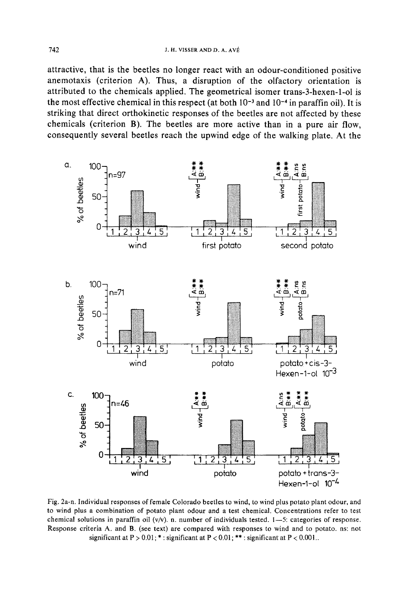attractive, that is the beetles no longer react with an odour-conditioned positive anemotaxis (criterion A). Thus, a disruption of the olfactory orientation is attributed to the chemicals applied. The geometrical isomer trans-3-hexen-l-ol is the most effective chemical in this respect (at both  $10^{-3}$  and  $10^{-4}$  in paraffin oil). It is striking that direct orthokinetic responses of the beetles are not affected by these chemicals (criterion B). The beetles are more active than in a pure air flow, consequently several beetles reach the upwind edge of the walking plate. At the



Fig. 2a-n. Individual responses of female Colorado beetles to wind. to wind plus potato plant odour, and to wind plus a combination of potato plant odour and a test chemical. Concentrations refer to test chemical solutions in paraffin oil  $(v/v)$ . n. number of individuals tested.  $1-5$ : categories of response. Response criteria A, and B. (see text) are compared with responses to wind and to potato, ns: not significant at  $P > 0.01$ ; \*: significant at  $P < 0.01$ ; \*\*: significant at  $P < 0.001$ ..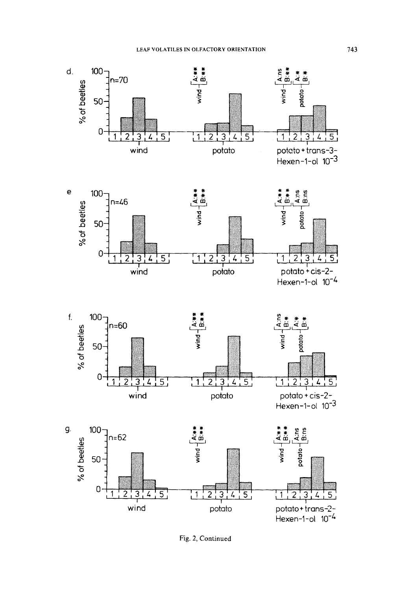





potato + cis-2-<br>Hexen-1-ol  $10^{-3}$ 



Fig. 2, Continued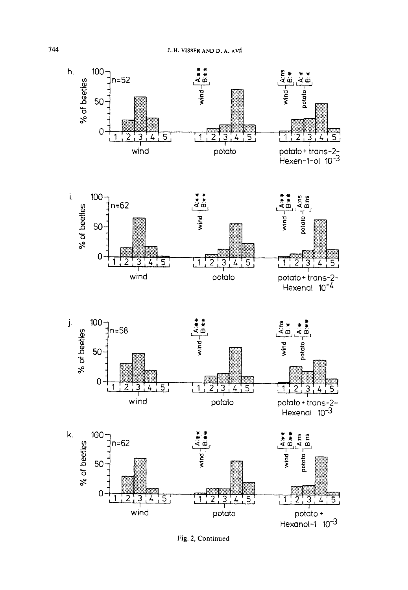





potato + trans-2-<br>Hexenal 10<sup>-3</sup>



Fig. 2, Continued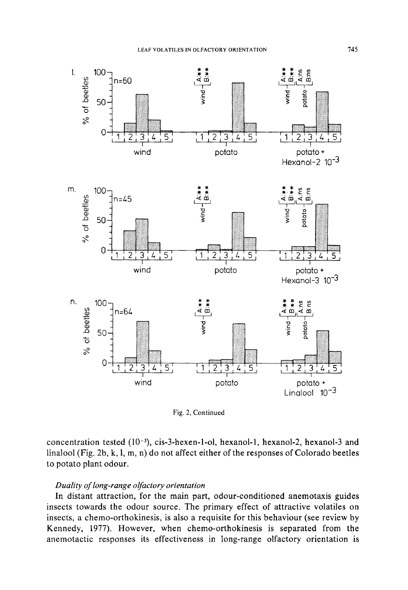

Fig. 2, Continued

concentration tested (10<sup>-3</sup>), cis-3-hexen-1-ol, hexanol-1, hexanol-2, hexanol-3 and linalool (Fig. 2b, k, l, m, n) do not affect either of the responses of Colorado beetles to potato plant odour.

## Duality of long-range olfactory orientation

In distant attraction, for the main part, odour-conditioned anemotaxis guides insects towards the odour source. The primary effect of attractive volatiles on insects, a chemo-orthokinesis, is also a requisite for this behaviour (see review by Kennedy, 1977). However, when chemo-orthokinesis is separated from the anemotactic responses its effectiveness in long-range olfactory orientation is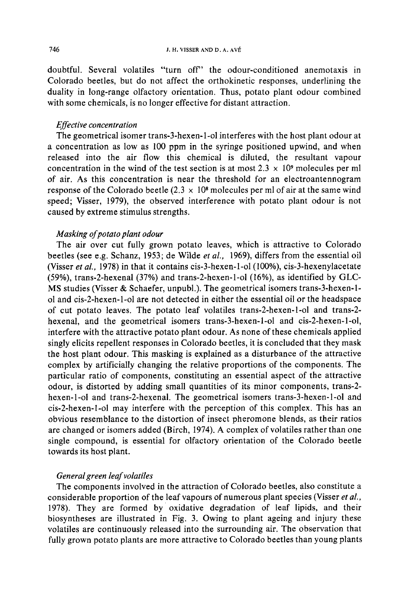doubtful. Several volatiles "turn off" the odour-conditioned anemotaxis in Colorado beetles, but do not affect the orthokinetic responses, underlining the duality in long-range olfactory orientation. Thus, potato plant odour combined with some chemicals, is no longer effective for distant attraction.

## *Effective concentration*

The geometrical isomer trans-3-hexen-l-ol interferes with the host plant odour at a concentration as low as 100 ppm in the syringe positioned upwind, and when released into the air flow this chemical is diluted, the resultant vapour concentration in the wind of the test section is at most  $2.3 \times 10^9$  molecules per ml of air. As this concentration is near the threshold for an electroantennogram response of the Colorado beetle (2.3  $\times$  10<sup>8</sup> molecules per ml of air at the same wind speed; Visser, 1979), the observed interference with potato plant odour is not caused by extreme stimulus strengths.

## *Masking of potato plant odour*

The air over cut fully grown potato leaves, which is attractive to Colorado beetles (see e.g. Schanz, 1953; de Wilde *et al.,* 1969), differs from the essential oil (Visser *et al.,* 1978) in that it contains cis-3-hexen-l-ol (100%), cis-3-hexenylacetate (59%), trans-2-hexenal (37%) and trans-2-hexen-l-ol (16%), as identified by GLC-MS studies (Visser & Schaefer, unpubl.). The geometrical isomers trans-3-hexen-1 ol and cis-2-hexen-l-ol are not detected in either the essential oil or the headspace of cut potato leaves. The potato leaf volatiles trans-2-hexen-l-ol and trans-2 hexenal, and the geometrical isomers trans-3-hexen-l-ol and cis-2-hexen-l-ol, interfere with the attractive potato plant odour. As none of these chemicals applied singly elicits repellent responses in Colorado beetles, it is concluded that they mask the host plant odour. This masking is explained as a disturbance of the attractive complex by artificially changing the relative proportions of the components. The particular ratio of components, constituting an essential aspect of the attractive odour, is distorted by adding small quantities of its minor components, trans-2 hexen-l-ol and trans-2-hexenal. The geometrical isomers trans-3-hexen-l-ol and cis-2-hexen-l-ol may interfere with the perception of this complex. This has an obvious resemblance to the distortion of insect pheromone blends, as their ratios are changed or isomers added (Birch, 1974). A complex of volatiles rather than one single compound, is essential for olfactory orientation of the Colorado beetle towards its host plant.

## *General green leaf volatiles*

The components involved in the attraction of Colorado beetles, also constitute a considerable proportion of the leaf vapours of numerous plant species (Visser *et al.,*  1978). They are formed by oxidative degradation of leaf lipids, and their biosyntheses are illustrated in Fig. 3. Owing to plant ageing and injury these volatiles are continuously released into the surrounding air. The observation that fully grown potato plants are more attractive to Colorado beetles than young plants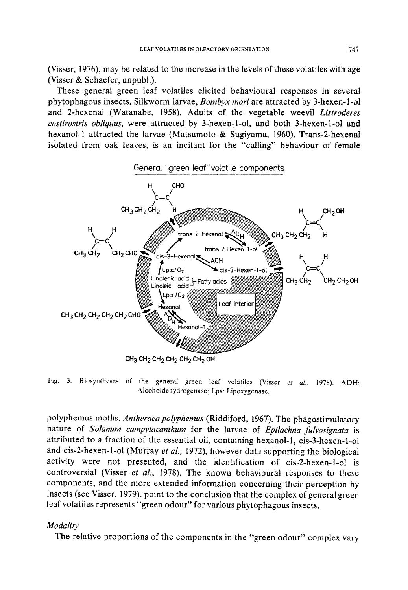(Visser, 1976), may be related to the increase in the levels of these volatiles with age (Visser & Schaefer, unpubl.).

These general green leaf volatiles elicited behavioural responses in several phytophagous insects. Silkworm larvae, *Bombyx mori* are attracted by 3-hexen-l-ol and 2-hexenal (Watanabe, 1958). Adults of the vegetable weevil *Listroderes costirostris obliquus,* were attracted by 3-hexen-t-ol, and both 3-hexen-l-ol and hexanol-1 attracted the larvae (Matsumoto & Sugiyama, 1960). Trans-2-hexenat isolated from oak leaves, is an incitant for the "calling" behaviour of female



Fig. 3. Biosyntheses of the general green leaf volatiles (Visser *et al.,* 1978). ADH: Alcoholdehydrogenase; Lpx: Lipoxygenase.

potyphemus moths, *Antheraea polyphemus* (Riddiford, 1967). The phagostimulatory nature of *Solanum campylacanthum* for the larvae of *Epilachna fulvosignata* is attributed to a fraction of the essential oil, containing hexanol-1, cis-3-hexen-l-ol and cis-2-hexen-l-ol (Murray *et al.,* 1972), however data supporting the biological activity were not presented, and the identification of cis-2-hexen-l-ol is controversial (Visser *et at.,* 1978). The known behavioural responses to these components, and the more extended information concerning their perception by insects (see Visser, 1979), point to the conclusion that the complex of general green leaf volatiles represents "green odour" for various phytophagous insects.

#### *Modality*

The relative proportions of the components in the "green odour" complex vary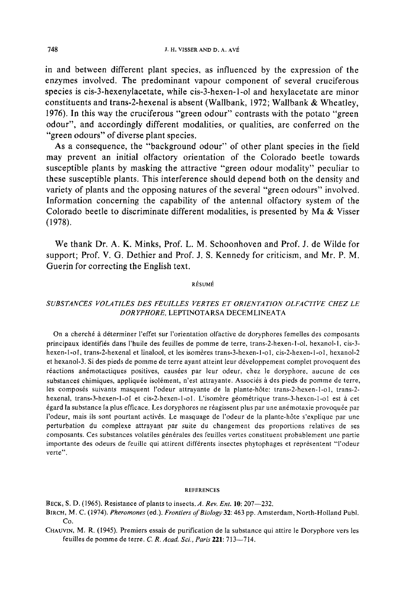in and between different plant species, as influenced by the expression of the enzymes involved. The predominant vapour component of several cruciferous species is cis-3-hexenylacetate, while cis-3-hexen-l-ol and hexylacetate are minor constituents and trans-2-hexenal is absent (Wallbank, 1972; Wallbank & Wheatley, 1976). In this way the cruciferous "green odour" contrasts with the potato "green odour", and accordingly different modalities, or qualities, are conferred on the "green odours" of diverse plant species.

As a consequence, the "background odour" of other plant species in the field may prevent an initial olfactory orientation of the Colorado beetle towards susceptible plants by masking the attractive "green odour modality" peculiar to these susceptible plants. This interference should depend both on the density and variety of plants and the opposing natures of the several "green odours" involved. Information concerning the capability of the antennal olfactory system of the Colorado beetle to discriminate different modalities, is presented by Ma & Visser (1978).

We thank Dr. A. K. Minks, Prof. L. M. Schoonhoven and Prof. J. de Wilde for support; Prof. V. G. Dethier and Prof. J. S. Kennedy for criticism, and Mr. P. M. Guerin for correcting the English text.

#### **RÉSUMÉ**

## *SUBSTANCES VOLATILES DES FEUILLES VERTES ET ORIENTATION OLFACTIVE CHEZ LE DOR YPHORE,* LEPTINOTARSA DECEMLINEATA

On a cherché à déterminer l'effet sur l'orientation olfactive de doryphores femelles des composants principaux identifi6s dans l'huile des feuilles de pomme de terre, trans-2-hexen-l-ol, hexanol-l, cis-3 hexen-1-ol, trans-2-hexenal et linalool, et les isomères trans-3-hexen-1-ol, cis-2-hexen-1-ol, hexanol-2 et hexanol-3. Si des pieds de pomme de terre ayant atteint leur développement complet provoquent des réactions anémotactiques positives, causées par leur odeur, chez le doryphore, aucune de ces substances chimiques, appliquée isolément, n'est attrayante. Associés à des pieds de pomme de terre, les composés suivants masquent l'odeur attrayante de la plante-hôte: trans-2-hexen-l-ol, trans-2hexenal, trans-3-hexen-1-ol et cis-2-hexen-1-ol. L'isomère géométrique trans-3-hexen-1-ol est à cet égard la substance la plus efficace. Les doryphores ne réagissent plus par une anémotaxie provoquée par I~odeur, mais its sont pourtant activ6s. Le masquage de l'odeur de la plante-h6te s'explique par une perturbation du complexe attrayant par suite du changement des proportions relatives de ses composants. Ces substances volatiles générales des feuilles vertes constituent probablement une partie importante des odeurs de feuille qui attirent différents insectes phytophages et représentent "l'odeur verte".

#### **REFERENCES**

BECK, S. D. (1965). Resistance of plants to insects. *A. Rev. Ent.* **10**: 207-232.

- BIRCH, M. C. (1974). *Pheromones* (ed.). *Frontiers of Biology* 32:463 pp. Amsterdam, North-Holland Publ. Co.
- CHAUVIN, M. R. (1945). Premiers essais de purification de la substance qui attire le Doryphore vers les feuilles de pomme de terre. *C. R. Acad. Sci., Paris* 221: 713--714.